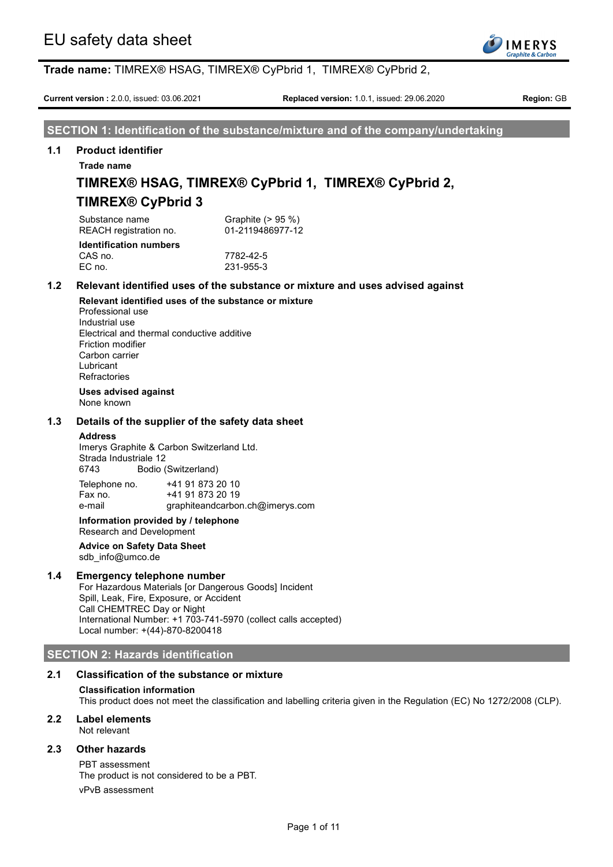

**Current version :** 2.0.0, issued: 03.06.2021 **Replaced version:** 1.0.1, issued: 29.06.2020 **Region:** GB

**SECTION 1: Identification of the substance/mixture and of the company/undertaking**

## **1.1 Product identifier**

**Trade name**

## **TIMREX® HSAG, TIMREX® CyPbrid 1, TIMREX® CyPbrid 2, TIMREX® CyPbrid 3**

Substance name Graphite (> 95 %) REACH registration no. 01-2119486977-12 **Identification numbers**

CAS no. 27782-42-5<br>EC no. 231-955-3 EC no. 231-955-3

## **1.2 Relevant identified uses of the substance or mixture and uses advised against**

**Relevant identified uses of the substance or mixture** Professional use Industrial use Electrical and thermal conductive additive Friction modifier Carbon carrier Lubricant Refractories

**Uses advised against**

None known

## **1.3 Details of the supplier of the safety data sheet**

### **Address**

Imerys Graphite & Carbon Switzerland Ltd. Strada Industriale 12 6743 Bodio (Switzerland)  $T_{\text{elaphano}}$  no.  $_{\text{t}}$  44.04.072.20.40

| Telepholie Ho. | 74 I 3 I 0 <i>I</i> 3 ZU IU     |
|----------------|---------------------------------|
| Fax no.        | +41 91 873 20 19                |
| e-mail         | graphiteandcarbon.ch@imerys.com |

#### **Information provided by / telephone** Research and Development

## **Advice on Safety Data Sheet** sdb\_info@umco.de

## **1.4 Emergency telephone number**

For Hazardous Materials [or Dangerous Goods] Incident Spill, Leak, Fire, Exposure, or Accident Call CHEMTREC Day or Night International Number: +1 703-741-5970 (collect calls accepted) Local number: +(44)-870-8200418

## **SECTION 2: Hazards identification**

## **2.1 Classification of the substance or mixture**

## **Classification information**

This product does not meet the classification and labelling criteria given in the Regulation (EC) No 1272/2008 (CLP).

## **2.2 Label elements**

Not relevant

## **2.3 Other hazards**

PBT assessment The product is not considered to be a PBT. vPvB assessment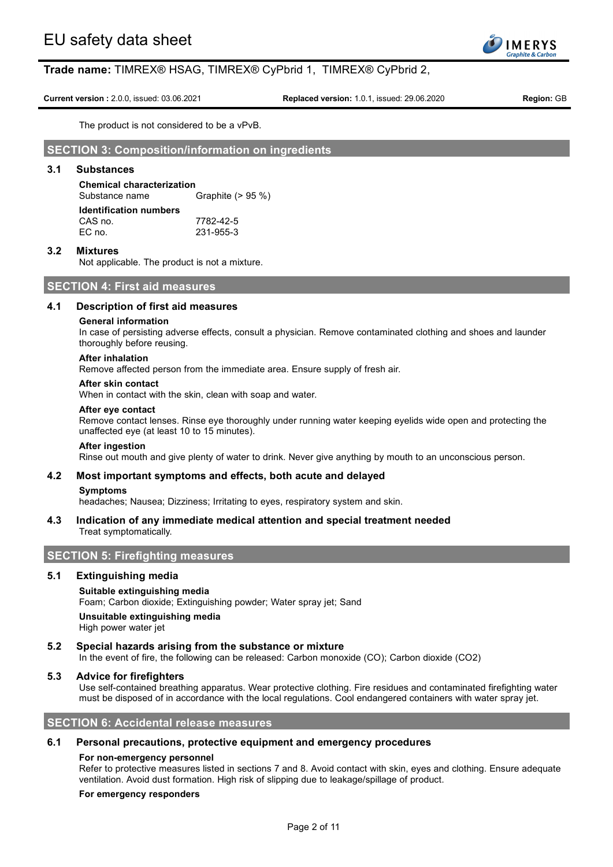

**Current version :** 2.0.0, issued: 03.06.2021 **Replaced version:** 1.0.1, issued: 29.06.2020 **Region:** GB

The product is not considered to be a vPvB.

## **SECTION 3: Composition/information on ingredients**

## **3.1 Substances**

**Chemical characterization** Graphite  $(> 95 %$ **Identification numbers** CAS no. 7782-42-5<br>EC no. 231-955-3 EC no. 231-955-3

## **3.2 Mixtures**

Not applicable. The product is not a mixture.

## **SECTION 4: First aid measures**

## **4.1 Description of first aid measures**

#### **General information**

In case of persisting adverse effects, consult a physician. Remove contaminated clothing and shoes and launder thoroughly before reusing.

## **After inhalation**

Remove affected person from the immediate area. Ensure supply of fresh air.

## **After skin contact**

When in contact with the skin, clean with soap and water.

#### **After eye contact**

Remove contact lenses. Rinse eye thoroughly under running water keeping eyelids wide open and protecting the unaffected eye (at least 10 to 15 minutes).

#### **After ingestion**

Rinse out mouth and give plenty of water to drink. Never give anything by mouth to an unconscious person.

### **4.2 Most important symptoms and effects, both acute and delayed**

#### **Symptoms**

headaches; Nausea; Dizziness; Irritating to eyes, respiratory system and skin.

## **4.3 Indication of any immediate medical attention and special treatment needed** Treat symptomatically.

## **SECTION 5: Firefighting measures**

### **5.1 Extinguishing media**

## **Suitable extinguishing media**

Foam; Carbon dioxide; Extinguishing powder; Water spray jet; Sand

## **Unsuitable extinguishing media**

High power water jet

## **5.2 Special hazards arising from the substance or mixture**

In the event of fire, the following can be released: Carbon monoxide (CO); Carbon dioxide (CO2)

## **5.3 Advice for firefighters**

Use self-contained breathing apparatus. Wear protective clothing. Fire residues and contaminated firefighting water must be disposed of in accordance with the local regulations. Cool endangered containers with water spray jet.

## **SECTION 6: Accidental release measures**

### **6.1 Personal precautions, protective equipment and emergency procedures**

### **For non-emergency personnel**

Refer to protective measures listed in sections 7 and 8. Avoid contact with skin, eyes and clothing. Ensure adequate ventilation. Avoid dust formation. High risk of slipping due to leakage/spillage of product.

## **For emergency responders**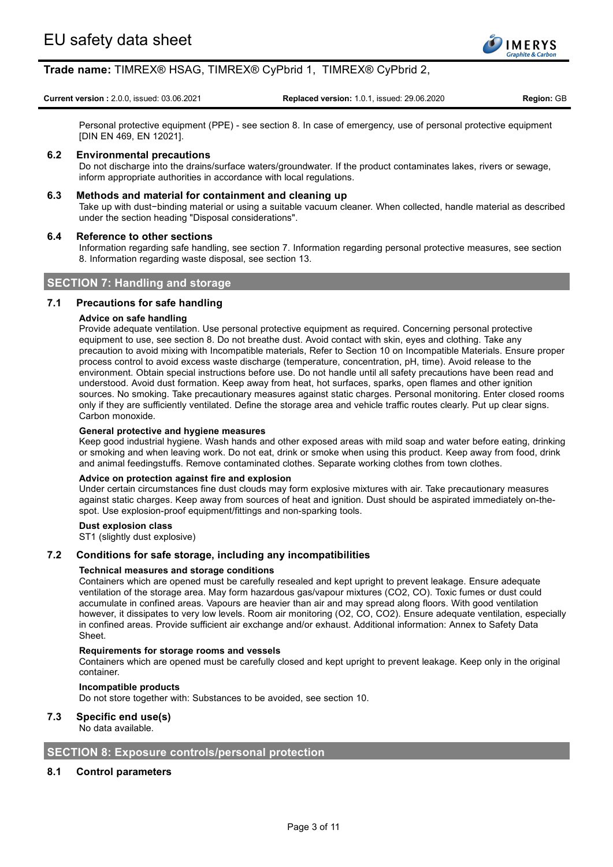

**Current version :** 2.0.0, issued: 03.06.2021 **Replaced version:** 1.0.1, issued: 29.06.2020 **Region:** GB

Personal protective equipment (PPE) - see section 8. In case of emergency, use of personal protective equipment [DIN EN 469, EN 12021].

## **6.2 Environmental precautions**

Do not discharge into the drains/surface waters/groundwater. If the product contaminates lakes, rivers or sewage, inform appropriate authorities in accordance with local regulations.

## **6.3 Methods and material for containment and cleaning up**

Take up with dust−binding material or using a suitable vacuum cleaner. When collected, handle material as described under the section heading "Disposal considerations".

## **6.4 Reference to other sections**

Information regarding safe handling, see section 7. Information regarding personal protective measures, see section 8. Information regarding waste disposal, see section 13.

## **SECTION 7: Handling and storage**

## **7.1 Precautions for safe handling**

## **Advice on safe handling**

Provide adequate ventilation. Use personal protective equipment as required. Concerning personal protective equipment to use, see section 8. Do not breathe dust. Avoid contact with skin, eyes and clothing. Take any precaution to avoid mixing with Incompatible materials, Refer to Section 10 on Incompatible Materials. Ensure proper process control to avoid excess waste discharge (temperature, concentration, pH, time). Avoid release to the environment. Obtain special instructions before use. Do not handle until all safety precautions have been read and understood. Avoid dust formation. Keep away from heat, hot surfaces, sparks, open flames and other ignition sources. No smoking. Take precautionary measures against static charges. Personal monitoring. Enter closed rooms only if they are sufficiently ventilated. Define the storage area and vehicle traffic routes clearly. Put up clear signs. Carbon monoxide.

### **General protective and hygiene measures**

Keep good industrial hygiene. Wash hands and other exposed areas with mild soap and water before eating, drinking or smoking and when leaving work. Do not eat, drink or smoke when using this product. Keep away from food, drink and animal feedingstuffs. Remove contaminated clothes. Separate working clothes from town clothes.

### **Advice on protection against fire and explosion**

Under certain circumstances fine dust clouds may form explosive mixtures with air. Take precautionary measures against static charges. Keep away from sources of heat and ignition. Dust should be aspirated immediately on-thespot. Use explosion-proof equipment/fittings and non-sparking tools.

### **Dust explosion class**

ST1 (slightly dust explosive)

## **7.2 Conditions for safe storage, including any incompatibilities**

### **Technical measures and storage conditions**

Containers which are opened must be carefully resealed and kept upright to prevent leakage. Ensure adequate ventilation of the storage area. May form hazardous gas/vapour mixtures (CO2, CO). Toxic fumes or dust could accumulate in confined areas. Vapours are heavier than air and may spread along floors. With good ventilation however, it dissipates to very low levels. Room air monitoring (O2, CO, CO2). Ensure adequate ventilation, especially in confined areas. Provide sufficient air exchange and/or exhaust. Additional information: Annex to Safety Data Sheet.

## **Requirements for storage rooms and vessels**

Containers which are opened must be carefully closed and kept upright to prevent leakage. Keep only in the original container.

**Incompatible products**

Do not store together with: Substances to be avoided, see section 10.

## **7.3 Specific end use(s)**

No data available.

## **SECTION 8: Exposure controls/personal protection**

## **8.1 Control parameters**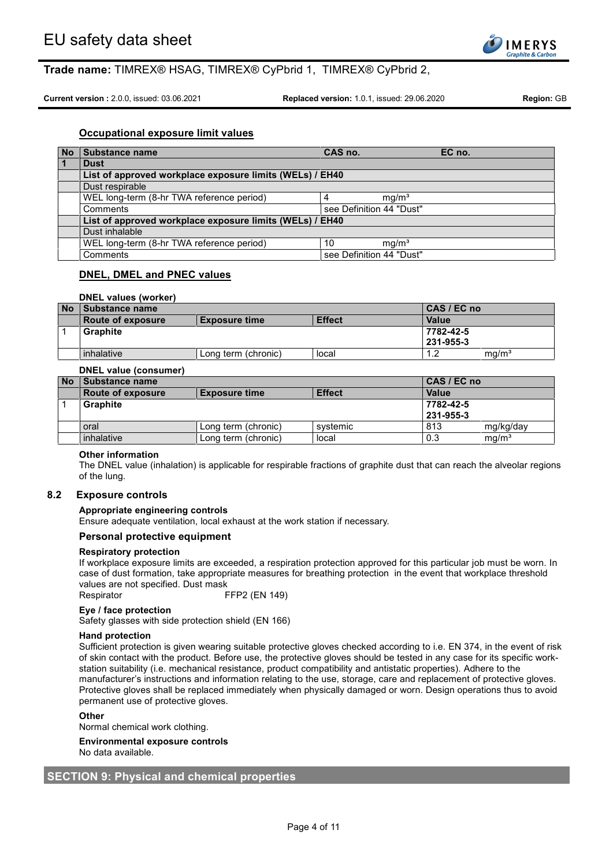

**Current version :** 2.0.0, issued: 03.06.2021 **Replaced version:** 1.0.1, issued: 29.06.2020 **Region:** GB

## **Occupational exposure limit values**

| No             | Substance name                                           | CAS no.                  | EC no. |
|----------------|----------------------------------------------------------|--------------------------|--------|
| $\overline{1}$ | <b>Dust</b>                                              |                          |        |
|                | List of approved workplace exposure limits (WELs) / EH40 |                          |        |
|                | Dust respirable                                          |                          |        |
|                | WEL long-term (8-hr TWA reference period)                | mq/m <sup>3</sup>        |        |
|                | Comments                                                 | see Definition 44 "Dust" |        |
|                | List of approved workplace exposure limits (WELs) / EH40 |                          |        |
|                | Dust inhalable                                           |                          |        |
|                | WEL long-term (8-hr TWA reference period)                | mq/m <sup>3</sup><br>10  |        |
|                | Comments                                                 | see Definition 44 "Dust" |        |

## **DNEL, DMEL and PNEC values**

## **DNEL values (worker)**

| <b>No</b> | <b>Substance name</b> |                      |               | $ CAS/EC$ no     |                   |
|-----------|-----------------------|----------------------|---------------|------------------|-------------------|
|           | Route of exposure     | <b>Exposure time</b> | <b>Effect</b> | <b>Value</b>     |                   |
|           | Graphite              |                      |               | 7782-42-5        |                   |
|           |                       |                      |               | $1231 - 955 - 3$ |                   |
|           | inhalative            | Long term (chronic)  | local         | 12               | ma/m <sup>3</sup> |

## **DNEL value (consumer)**

| <b>No</b> | Substance name           |                      |               | CAS / EC no  |                   |
|-----------|--------------------------|----------------------|---------------|--------------|-------------------|
|           | <b>Route of exposure</b> | <b>Exposure time</b> | <b>Effect</b> | <b>Value</b> |                   |
|           | <b>Graphite</b>          |                      |               | 7782-42-5    |                   |
|           |                          |                      |               | 231-955-3    |                   |
|           | oral                     | Long term (chronic)  | systemic      | 813          | mg/kg/day         |
|           | inhalative               | Long term (chronic)  | local         | 0.3          | mq/m <sup>3</sup> |

## **Other information**

The DNEL value (inhalation) is applicable for respirable fractions of graphite dust that can reach the alveolar regions of the lung.

## **8.2 Exposure controls**

### **Appropriate engineering controls**

Ensure adequate ventilation, local exhaust at the work station if necessary.

### **Personal protective equipment**

#### **Respiratory protection**

If workplace exposure limits are exceeded, a respiration protection approved for this particular job must be worn. In case of dust formation, take appropriate measures for breathing protection in the event that workplace threshold values are not specified. Dust mask

Respirator FFP2 (EN 149)

#### **Eye / face protection**

Safety glasses with side protection shield (EN 166)

#### **Hand protection**

Sufficient protection is given wearing suitable protective gloves checked according to i.e. EN 374, in the event of risk of skin contact with the product. Before use, the protective gloves should be tested in any case for its specific workstation suitability (i.e. mechanical resistance, product compatibility and antistatic properties). Adhere to the manufacturer's instructions and information relating to the use, storage, care and replacement of protective gloves. Protective gloves shall be replaced immediately when physically damaged or worn. Design operations thus to avoid permanent use of protective gloves.

#### **Other**

Normal chemical work clothing.

#### **Environmental exposure controls** No data available.

## **SECTION 9: Physical and chemical properties**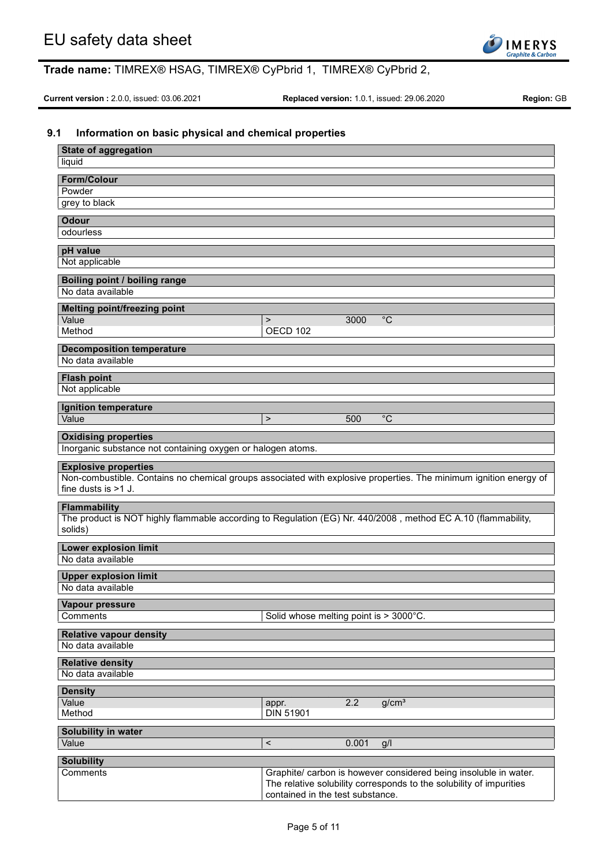

**Current version :** 2.0.0, issued: 03.06.2021 **Replaced version:** 1.0.1, issued: 29.06.2020 **Region:** GB

## **9.1 Information on basic physical and chemical properties**

| <b>State of aggregation</b>                                                                                             |                                        |       |                                                                     |
|-------------------------------------------------------------------------------------------------------------------------|----------------------------------------|-------|---------------------------------------------------------------------|
| liquid                                                                                                                  |                                        |       |                                                                     |
| <b>Form/Colour</b>                                                                                                      |                                        |       |                                                                     |
| Powder                                                                                                                  |                                        |       |                                                                     |
| grey to black                                                                                                           |                                        |       |                                                                     |
| <b>Odour</b><br>odourless                                                                                               |                                        |       |                                                                     |
|                                                                                                                         |                                        |       |                                                                     |
| pH value<br>Not applicable                                                                                              |                                        |       |                                                                     |
|                                                                                                                         |                                        |       |                                                                     |
| Boiling point / boiling range<br>No data available                                                                      |                                        |       |                                                                     |
|                                                                                                                         |                                        |       |                                                                     |
| <b>Melting point/freezing point</b><br>Value                                                                            | $\geq$                                 | 3000  | $\overline{C}$                                                      |
| Method                                                                                                                  | OECD 102                               |       |                                                                     |
| <b>Decomposition temperature</b>                                                                                        |                                        |       |                                                                     |
| No data available                                                                                                       |                                        |       |                                                                     |
| <b>Flash point</b>                                                                                                      |                                        |       |                                                                     |
| Not applicable                                                                                                          |                                        |       |                                                                     |
| Ignition temperature                                                                                                    |                                        |       |                                                                     |
| Value                                                                                                                   | $\geq$                                 | 500   | $^{\circ}C$                                                         |
| <b>Oxidising properties</b>                                                                                             |                                        |       |                                                                     |
| Inorganic substance not containing oxygen or halogen atoms.                                                             |                                        |       |                                                                     |
| <b>Explosive properties</b>                                                                                             |                                        |       |                                                                     |
| Non-combustible. Contains no chemical groups associated with explosive properties. The minimum ignition energy of       |                                        |       |                                                                     |
| fine dusts is $>1$ J.                                                                                                   |                                        |       |                                                                     |
| <b>Flammability</b>                                                                                                     |                                        |       |                                                                     |
| The product is NOT highly flammable according to Regulation (EG) Nr. 440/2008, method EC A.10 (flammability,<br>solids) |                                        |       |                                                                     |
| <b>Lower explosion limit</b>                                                                                            |                                        |       |                                                                     |
| No data available                                                                                                       |                                        |       |                                                                     |
| <b>Upper explosion limit</b>                                                                                            |                                        |       |                                                                     |
| No data available                                                                                                       |                                        |       |                                                                     |
| Vapour pressure                                                                                                         |                                        |       |                                                                     |
| Comments                                                                                                                | Solid whose melting point is > 3000°C. |       |                                                                     |
| <b>Relative vapour density</b>                                                                                          |                                        |       |                                                                     |
| No data available                                                                                                       |                                        |       |                                                                     |
| <b>Relative density</b>                                                                                                 |                                        |       |                                                                     |
| No data available                                                                                                       |                                        |       |                                                                     |
| <b>Density</b>                                                                                                          |                                        |       |                                                                     |
| Value<br>Method                                                                                                         | appr.<br><b>DIN 51901</b>              | 2.2   | g/cm <sup>3</sup>                                                   |
|                                                                                                                         |                                        |       |                                                                     |
| Solubility in water<br>Value                                                                                            | $\,<$                                  | 0.001 | g/l                                                                 |
|                                                                                                                         |                                        |       |                                                                     |
| <b>Solubility</b><br><b>Comments</b>                                                                                    |                                        |       | Graphite/ carbon is however considered being insoluble in water.    |
|                                                                                                                         |                                        |       | The relative solubility corresponds to the solubility of impurities |
|                                                                                                                         | contained in the test substance.       |       |                                                                     |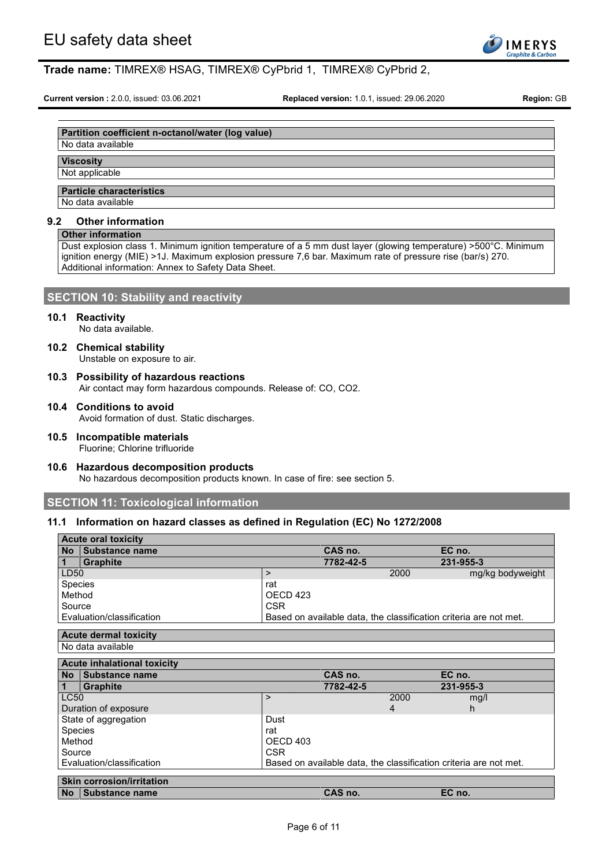

**Current version :** 2.0.0, issued: 03.06.2021 **Replaced version:** 1.0.1, issued: 29.06.2020 **Region:** GB

## **Partition coefficient n-octanol/water (log value)**

## No data available

## **Viscosity**

## Not applicable

## **Particle characteristics**

No data available

### **9.2 Other information**

## **Other information**

Dust explosion class 1. Minimum ignition temperature of a 5 mm dust layer (glowing temperature) >500°C. Minimum ignition energy (MIE) >1J. Maximum explosion pressure 7,6 bar. Maximum rate of pressure rise (bar/s) 270. Additional information: Annex to Safety Data Sheet.

## **SECTION 10: Stability and reactivity**

### **10.1 Reactivity**

No data available.

**10.2 Chemical stability**

Unstable on exposure to air.

- **10.3 Possibility of hazardous reactions** Air contact may form hazardous compounds. Release of: CO, CO2.
- **10.4 Conditions to avoid** Avoid formation of dust. Static discharges.
- **10.5 Incompatible materials** Fluorine; Chlorine trifluoride
- **10.6 Hazardous decomposition products** No hazardous decomposition products known. In case of fire: see section 5.

## **SECTION 11: Toxicological information**

## **11.1 Information on hazard classes as defined in Regulation (EC) No 1272/2008**

|              | <b>Acute oral toxicity</b>                         |                                                                   |                |                                                                   |
|--------------|----------------------------------------------------|-------------------------------------------------------------------|----------------|-------------------------------------------------------------------|
| <b>No</b>    | <b>Substance name</b>                              | CAS no.                                                           |                | EC no.                                                            |
| $\mathbf 1$  | <b>Graphite</b>                                    | 7782-42-5                                                         |                | 231-955-3                                                         |
| LD50         |                                                    | $\geq$                                                            | 2000           | mg/kg bodyweight                                                  |
| Species      |                                                    | rat                                                               |                |                                                                   |
| Method       |                                                    | OECD 423                                                          |                |                                                                   |
| Source       |                                                    | CSR.                                                              |                |                                                                   |
|              | Evaluation/classification                          |                                                                   |                | Based on available data, the classification criteria are not met. |
|              | <b>Acute dermal toxicity</b>                       |                                                                   |                |                                                                   |
|              |                                                    |                                                                   |                |                                                                   |
|              | No data available                                  |                                                                   |                |                                                                   |
|              | <b>Acute inhalational toxicity</b>                 |                                                                   |                |                                                                   |
| <b>No</b>    | Substance name                                     | CAS no.                                                           |                | EC no.                                                            |
| $\mathbf{1}$ | <b>Graphite</b>                                    | 7782-42-5                                                         |                | 231-955-3                                                         |
| <b>LC50</b>  |                                                    | $\geq$                                                            | 2000           | mg/l                                                              |
|              | Duration of exposure                               |                                                                   | $\overline{4}$ | h.                                                                |
|              | State of aggregation                               | Dust                                                              |                |                                                                   |
| Species      |                                                    | rat                                                               |                |                                                                   |
| Method       |                                                    | OECD <sub>403</sub>                                               |                |                                                                   |
| Source       |                                                    | <b>CSR</b>                                                        |                |                                                                   |
|              |                                                    |                                                                   |                |                                                                   |
|              | Evaluation/classification                          | Based on available data, the classification criteria are not met. |                |                                                                   |
|              |                                                    |                                                                   |                |                                                                   |
| <b>No</b>    | <b>Skin corrosion/irritation</b><br>Substance name | CAS no.                                                           |                | EC no.                                                            |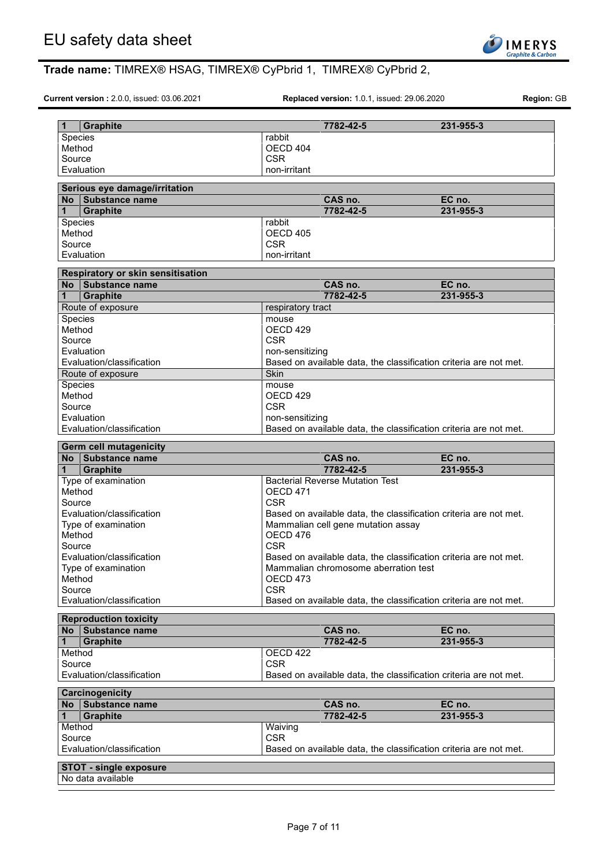

**Current version :** 2.0.0, issued: 03.06.2021 **Replaced version:** 1.0.1, issued: 29.06.2020 **Region:** GB

| $\mathbf{1}$     | <b>Graphite</b>                                    | 7782-42-5                                                         | 231-955-3 |
|------------------|----------------------------------------------------|-------------------------------------------------------------------|-----------|
| Species          |                                                    | rabbit                                                            |           |
| Method           |                                                    | OECD 404                                                          |           |
| Source           |                                                    | <b>CSR</b>                                                        |           |
|                  | Evaluation                                         | non-irritant                                                      |           |
|                  |                                                    |                                                                   |           |
|                  | Serious eye damage/irritation                      |                                                                   |           |
|                  | No Substance name                                  | CAS no.                                                           | EC no.    |
| $\mathbf{1}$     | <b>Graphite</b>                                    | 7782-42-5                                                         | 231-955-3 |
| Species          |                                                    | rabbit                                                            |           |
| Method           |                                                    | OECD 405                                                          |           |
| Source           |                                                    | <b>CSR</b>                                                        |           |
|                  | Evaluation                                         | non-irritant                                                      |           |
|                  | Respiratory or skin sensitisation                  |                                                                   |           |
|                  | No Substance name                                  | CAS no.                                                           | EC no.    |
| $\mathbf 1$      | <b>Graphite</b>                                    | 7782-42-5                                                         | 231-955-3 |
|                  | Route of exposure                                  | respiratory tract                                                 |           |
| Species          |                                                    | mouse                                                             |           |
| Method           |                                                    | OECD 429                                                          |           |
| Source           |                                                    | <b>CSR</b>                                                        |           |
|                  | Evaluation                                         | non-sensitizing                                                   |           |
|                  | Evaluation/classification                          | Based on available data, the classification criteria are not met. |           |
|                  | Route of exposure                                  | <b>Skin</b>                                                       |           |
| Species          |                                                    | mouse                                                             |           |
| Method           |                                                    | OECD 429                                                          |           |
| Source           |                                                    | <b>CSR</b>                                                        |           |
|                  | Evaluation                                         | non-sensitizing                                                   |           |
|                  | Evaluation/classification                          | Based on available data, the classification criteria are not met. |           |
|                  | <b>Germ cell mutagenicity</b>                      |                                                                   |           |
|                  |                                                    |                                                                   |           |
|                  | No I Substance name                                | CAS no.                                                           | EC no.    |
| 1                | Graphite                                           | 7782-42-5                                                         | 231-955-3 |
|                  | Type of examination                                | <b>Bacterial Reverse Mutation Test</b>                            |           |
| Method           |                                                    | OECD <sub>471</sub>                                               |           |
| Source           |                                                    | <b>CSR</b>                                                        |           |
|                  | Evaluation/classification                          | Based on available data, the classification criteria are not met. |           |
|                  | Type of examination                                | Mammalian cell gene mutation assay                                |           |
| Method           |                                                    | OECD 476                                                          |           |
| Source           |                                                    | <b>CSR</b>                                                        |           |
|                  | Evaluation/classification                          | Based on available data, the classification criteria are not met. |           |
|                  | Type of examination                                | Mammalian chromosome aberration test                              |           |
| Method<br>Source |                                                    | OECD <sub>473</sub><br><b>CSR</b>                                 |           |
|                  | Evaluation/classification                          | Based on available data, the classification criteria are not met. |           |
|                  |                                                    |                                                                   |           |
|                  | <b>Reproduction toxicity</b>                       |                                                                   |           |
|                  | No Substance name                                  | CAS no.                                                           | EC no.    |
| 1.               | <b>Graphite</b>                                    | 7782-42-5                                                         | 231-955-3 |
| Method           |                                                    | OECD 422                                                          |           |
| Source           |                                                    | <b>CSR</b>                                                        |           |
|                  | Evaluation/classification                          | Based on available data, the classification criteria are not met. |           |
|                  | Carcinogenicity                                    |                                                                   |           |
|                  | No Substance name                                  | CAS no.                                                           | EC no.    |
| 1                | <b>Graphite</b>                                    | 7782-42-5                                                         | 231-955-3 |
| Method           |                                                    | Waiving                                                           |           |
| Source           |                                                    | <b>CSR</b>                                                        |           |
|                  | Evaluation/classification                          | Based on available data, the classification criteria are not met. |           |
|                  |                                                    |                                                                   |           |
|                  | <b>STOT - single exposure</b><br>No data available |                                                                   |           |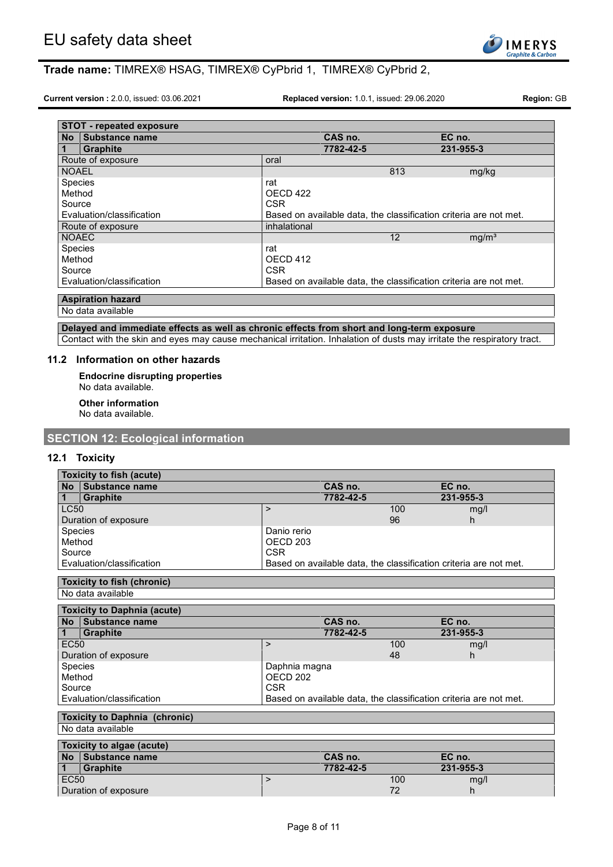

**Current version :** 2.0.0, issued: 03.06.2021 **Replaced version:** 1.0.1, issued: 29.06.2020 **Region:** GB

|                | <b>STOT - repeated exposure</b> |              |           |     |                                                                   |
|----------------|---------------------------------|--------------|-----------|-----|-------------------------------------------------------------------|
| <b>No</b>      | Substance name                  |              | CAS no.   |     | EC no.                                                            |
| $\mathbf 1$    | <b>Graphite</b>                 |              | 7782-42-5 |     | 231-955-3                                                         |
|                | Route of exposure               | oral         |           |     |                                                                   |
| <b>NOAEL</b>   |                                 |              |           | 813 | mg/kg                                                             |
| <b>Species</b> |                                 | rat          |           |     |                                                                   |
| Method         |                                 | OECD 422     |           |     |                                                                   |
| Source         |                                 | <b>CSR</b>   |           |     |                                                                   |
|                | Evaluation/classification       |              |           |     | Based on available data, the classification criteria are not met. |
|                | Route of exposure               | inhalational |           |     |                                                                   |
| <b>NOAEC</b>   |                                 |              |           | 12  | mg/m <sup>3</sup>                                                 |
| <b>Species</b> |                                 | rat          |           |     |                                                                   |
| Method         |                                 | OECD 412     |           |     |                                                                   |
| Source         |                                 | <b>CSR</b>   |           |     |                                                                   |
|                | Evaluation/classification       |              |           |     | Based on available data, the classification criteria are not met. |

## **Aspiration hazard**

No data available

## **Delayed and immediate effects as well as chronic effects from short and long-term exposure**

Contact with the skin and eyes may cause mechanical irritation. Inhalation of dusts may irritate the respiratory tract.

### **11.2 Information on other hazards**

**Endocrine disrupting properties** No data available.

**Other information**

No data available.

## **SECTION 12: Ecological information**

## **12.1 Toxicity**

| <b>Toxicity to fish (acute)</b>      |                     |           |                                                                   |
|--------------------------------------|---------------------|-----------|-------------------------------------------------------------------|
| Substance name<br><b>No</b>          |                     | CAS no.   | EC no.                                                            |
| <b>Graphite</b><br>1                 |                     | 7782-42-5 | 231-955-3                                                         |
| <b>LC50</b>                          | $\geq$              | 100       | mg/l                                                              |
| Duration of exposure                 |                     | 96        | h.                                                                |
| Species                              | Danio rerio         |           |                                                                   |
| Method                               | OECD <sub>203</sub> |           |                                                                   |
| Source                               | <b>CSR</b>          |           |                                                                   |
| Evaluation/classification            |                     |           | Based on available data, the classification criteria are not met. |
| <b>Toxicity to fish (chronic)</b>    |                     |           |                                                                   |
| No data available                    |                     |           |                                                                   |
| <b>Toxicity to Daphnia (acute)</b>   |                     |           |                                                                   |
| Substance name<br>No                 |                     | CAS no.   | EC no.                                                            |
| $\mathbf{1}$<br><b>Graphite</b>      |                     | 7782-42-5 | 231-955-3                                                         |
| <b>EC50</b>                          | $\geq$              | 100       | mg/l                                                              |
| Duration of exposure                 |                     | 48        | h.                                                                |
| Species                              | Daphnia magna       |           |                                                                   |
| Method                               | OECD 202            |           |                                                                   |
| <b>CSR</b><br>Source                 |                     |           |                                                                   |
| Evaluation/classification            |                     |           | Based on available data, the classification criteria are not met. |
| <b>Toxicity to Daphnia (chronic)</b> |                     |           |                                                                   |
| No data available                    |                     |           |                                                                   |
|                                      |                     |           |                                                                   |
| Toxicity to algae (acute)            |                     |           |                                                                   |

|                  | TOXICILY TO algae (acule) |           |                |           |  |
|------------------|---------------------------|-----------|----------------|-----------|--|
|                  | No Substance name         | CAS no.   |                | EC no.    |  |
|                  | <b>Graphite</b>           | 7782-42-5 |                | 231-955-3 |  |
| EC <sub>50</sub> |                           |           | 100            | mg/l      |  |
|                  | Duration of exposure      |           | 7 <sup>c</sup> |           |  |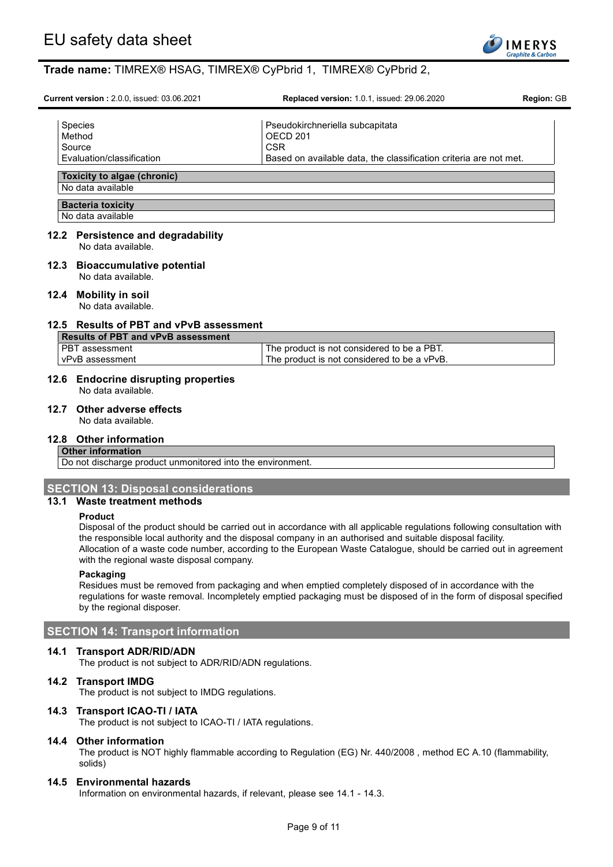

| <b>Current version: 2.0.0, issued: 03.06.2021</b>        | <b>Replaced version: 1.0.1, issued: 29.06.2020</b>                | <b>Region: GB</b> |  |
|----------------------------------------------------------|-------------------------------------------------------------------|-------------------|--|
| <b>Species</b><br>Method<br>Source                       | Pseudokirchneriella subcapitata<br>OFCD 201<br><b>CSR</b>         |                   |  |
| Evaluation/classification                                | Based on available data, the classification criteria are not met. |                   |  |
| Toxicity to algae (chronic)<br>No data available         |                                                                   |                   |  |
| <b>Bacteria toxicity</b><br>No data available            |                                                                   |                   |  |
| 12.2 Persistence and degradability<br>No data available. |                                                                   |                   |  |

#### **12.3 Bioaccumulative potential** No data available.

## **12.4 Mobility in soil**

No data available.

## **12.5 Results of PBT and vPvB assessment**

| Results of PBT and vPvB assessment |                                             |  |  |
|------------------------------------|---------------------------------------------|--|--|
| I PBT assessment                   | The product is not considered to be a PBT.  |  |  |
| l vPvB assessment                  | The product is not considered to be a vPvB. |  |  |

## **12.6 Endocrine disrupting properties**

No data available.

### **12.7 Other adverse effects**

No data available.

## **12.8 Other information**

## **Other information**

Do not discharge product unmonitored into the environment.

## **SECTION 13: Disposal considerations**

## **13.1 Waste treatment methods**

#### **Product**

Disposal of the product should be carried out in accordance with all applicable regulations following consultation with the responsible local authority and the disposal company in an authorised and suitable disposal facility. Allocation of a waste code number, according to the European Waste Catalogue, should be carried out in agreement with the regional waste disposal company.

### **Packaging**

Residues must be removed from packaging and when emptied completely disposed of in accordance with the regulations for waste removal. Incompletely emptied packaging must be disposed of in the form of disposal specified by the regional disposer.

## **SECTION 14: Transport information**

## **14.1 Transport ADR/RID/ADN**

The product is not subject to ADR/RID/ADN regulations.

### **14.2 Transport IMDG**

The product is not subject to IMDG regulations.

### **14.3 Transport ICAO-TI / IATA**

The product is not subject to ICAO-TI / IATA regulations.

### **14.4 Other information**

The product is NOT highly flammable according to Regulation (EG) Nr. 440/2008 , method EC A.10 (flammability, solids)

### **14.5 Environmental hazards**

Information on environmental hazards, if relevant, please see 14.1 - 14.3.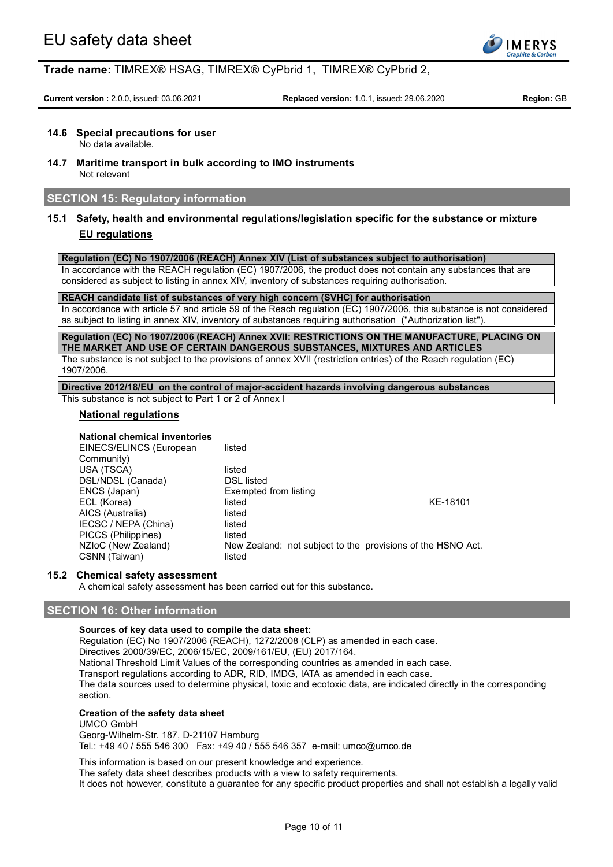

**Current version :** 2.0.0, issued: 03.06.2021 **Replaced version:** 1.0.1, issued: 29.06.2020 **Region:** GB

## **14.6 Special precautions for user**

No data available.

**14.7 Maritime transport in bulk according to IMO instruments** Not relevant

## **SECTION 15: Regulatory information**

## **15.1 Safety, health and environmental regulations/legislation specific for the substance or mixture EU regulations**

**Regulation (EC) No 1907/2006 (REACH) Annex XIV (List of substances subject to authorisation)**

In accordance with the REACH regulation (EC) 1907/2006, the product does not contain any substances that are considered as subject to listing in annex XIV, inventory of substances requiring authorisation.

**REACH candidate list of substances of very high concern (SVHC) for authorisation**

In accordance with article 57 and article 59 of the Reach regulation (EC) 1907/2006, this substance is not considered as subject to listing in annex XIV, inventory of substances requiring authorisation ("Authorization list").

**Regulation (EC) No 1907/2006 (REACH) Annex XVII: RESTRICTIONS ON THE MANUFACTURE, PLACING ON THE MARKET AND USE OF CERTAIN DANGEROUS SUBSTANCES, MIXTURES AND ARTICLES** The substance is not subject to the provisions of annex XVII (restriction entries) of the Reach regulation (EC) 1907/2006.

**Directive 2012/18/EU on the control of major-accident hazards involving dangerous substances** This substance is not subject to Part 1 or 2 of Annex I

## **National regulations**

### **National chemical inventories**

EINECS/ELINCS (European Community) listed USA (TSCA) listed<br>DSL/NDSL (Canada) listed bSL listed DSL/NDSL (Canada)<br>ENCS (Japan) Exempted from listing ECL (Korea) **listed** KE-18101 AICS (Australia) listed IECSC / NEPA (China) listed<br>PICCS (Philippines) listed PICCS (Philippines)<br>NZIoC (New Zealand) New Zealand: not subject to the provisions of the HSNO Act. CSNN (Taiwan) listed

### **15.2 Chemical safety assessment**

A chemical safety assessment has been carried out for this substance.

## **SECTION 16: Other information**

## **Sources of key data used to compile the data sheet:**

Regulation (EC) No 1907/2006 (REACH), 1272/2008 (CLP) as amended in each case. Directives 2000/39/EC, 2006/15/EC, 2009/161/EU, (EU) 2017/164. National Threshold Limit Values of the corresponding countries as amended in each case. Transport regulations according to ADR, RID, IMDG, IATA as amended in each case. The data sources used to determine physical, toxic and ecotoxic data, are indicated directly in the corresponding section.

## **Creation of the safety data sheet**

### UMCO GmbH

Georg-Wilhelm-Str. 187, D-21107 Hamburg Tel.: +49 40 / 555 546 300 Fax: +49 40 / 555 546 357 e-mail: umco@umco.de

This information is based on our present knowledge and experience.

The safety data sheet describes products with a view to safety requirements.

It does not however, constitute a guarantee for any specific product properties and shall not establish a legally valid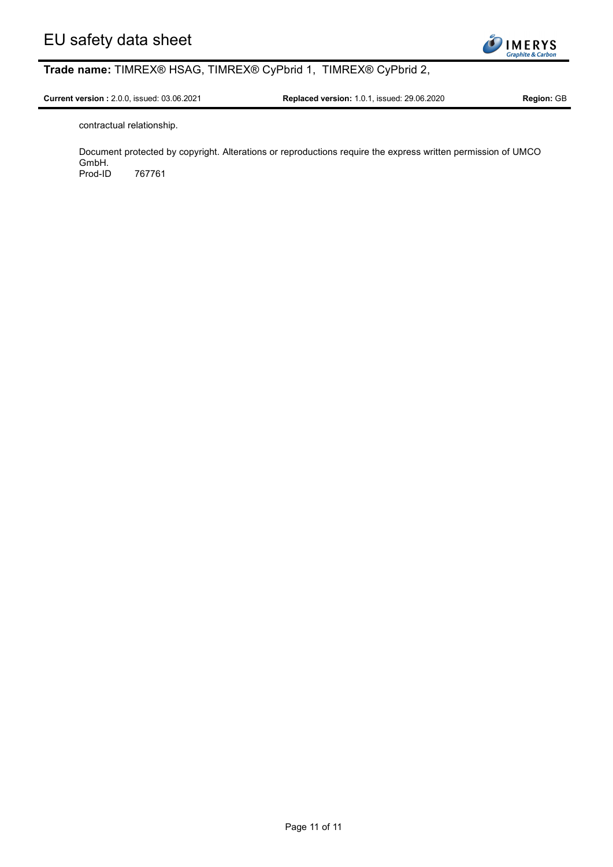

**Current version :** 2.0.0, issued: 03.06.2021 **Replaced version:** 1.0.1, issued: 29.06.2020 **Region:** GB

contractual relationship.

Document protected by copyright. Alterations or reproductions require the express written permission of UMCO GmbH. Prod-ID 767761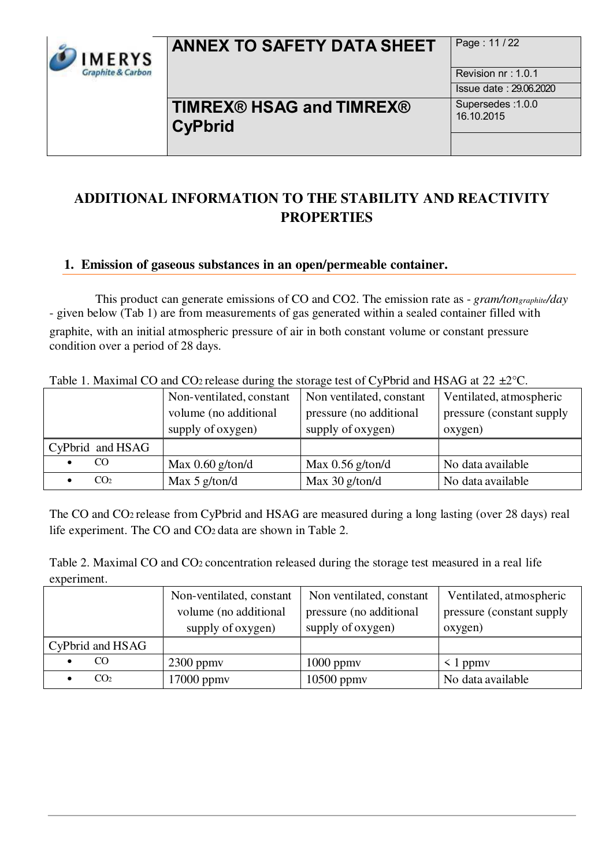

# **ANNEX TO SAFETY DATA SHEET** Page: 11/22

Revision nr : 1.0.1 Issue date : 29.06.2020

## **TIMREX® HSAG and TIMREX® CyPbrid**

Supersedes :1.0.0 16.10.2015

## **ADDITIONAL INFORMATION TO THE STABILITY AND REACTIVITY PROPERTIES**

## **1. Emission of gaseous substances in an open/permeable container.**

This product can generate emissions of CO and CO2. The emission rate as - *gram/tongraphite/day*  - given below (Tab 1) are from measurements of gas generated within a sealed container filled with graphite, with an initial atmospheric pressure of air in both constant volume or constant pressure condition over a period of 28 days.

| Table 1. Maximal CO and COZTelease during the storage lest of Cyr bild and HSTO at $22$ $\pm 2$ C. |                                                                        |                                                                          |                                                                  |
|----------------------------------------------------------------------------------------------------|------------------------------------------------------------------------|--------------------------------------------------------------------------|------------------------------------------------------------------|
|                                                                                                    | Non-ventilated, constant<br>volume (no additional<br>supply of oxygen) | Non ventilated, constant<br>pressure (no additional<br>supply of oxygen) | Ventilated, atmospheric<br>pressure (constant supply)<br>oxygen) |
|                                                                                                    |                                                                        |                                                                          |                                                                  |
| CyPbrid and HSAG                                                                                   |                                                                        |                                                                          |                                                                  |
| CO.                                                                                                | Max $0.60$ g/ton/d                                                     | Max $0.56$ g/ton/d                                                       | No data available                                                |
| CO <sub>2</sub>                                                                                    | Max $5$ g/ton/d                                                        | Max $30$ g/ton/d                                                         | No data available                                                |

Table 1. Maximal CO and CO<sub>2</sub> release during the storage test of CyPbrid and HSAG at 22  $+2$ °C.

The CO and CO2 release from CyPbrid and HSAG are measured during a long lasting (over 28 days) real life experiment. The CO and CO2 data are shown in Table 2.

Table 2. Maximal CO and CO2 concentration released during the storage test measured in a real life experiment.

|                  | Non-ventilated, constant | Non ventilated, constant | Ventilated, atmospheric    |
|------------------|--------------------------|--------------------------|----------------------------|
|                  | volume (no additional    | pressure (no additional  | pressure (constant supply) |
|                  | supply of oxygen)        | supply of oxygen)        | oxygen)                    |
| CyPbrid and HSAG |                          |                          |                            |
| CO               | $2300$ ppmy              | $1000$ ppm $v$           | $\leq 1$ ppmv              |
| CO <sub>2</sub>  | 17000 ppmy               | $10500$ ppmv             | No data available          |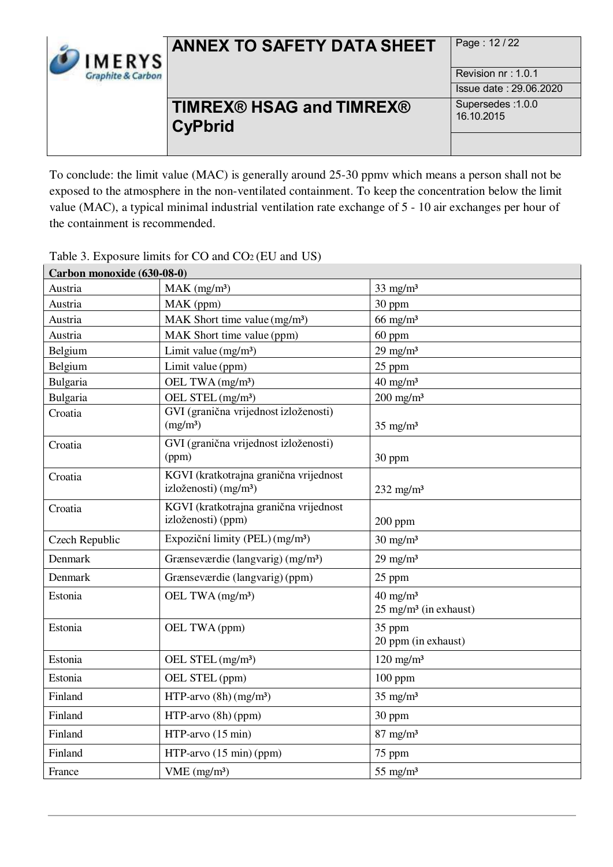

# **ANNEX TO SAFETY DATA SHEET** Page: 12/22

## **TIMREX® HSAG and TIMREX® CyPbrid**

Revision nr : 1.0.1 Issue date : 29.06.2020 Supersedes :1.0.0 16.10.2015

To conclude: the limit value (MAC) is generally around 25-30 ppmv which means a person shall not be exposed to the atmosphere in the non-ventilated containment. To keep the concentration below the limit value (MAC), a typical minimal industrial ventilation rate exchange of 5 - 10 air exchanges per hour of the containment is recommended.

| Carbon monoxide (630-08-0) |                                                                             |                                                         |
|----------------------------|-----------------------------------------------------------------------------|---------------------------------------------------------|
| Austria                    | $MAK$ (mg/m <sup>3</sup> )                                                  | $33$ mg/m <sup>3</sup>                                  |
| Austria                    | MAK (ppm)                                                                   | 30 ppm                                                  |
| Austria                    | MAK Short time value (mg/m <sup>3</sup> )                                   | $66$ mg/m <sup>3</sup>                                  |
| Austria                    | MAK Short time value (ppm)                                                  | 60 ppm                                                  |
| Belgium                    | Limit value $(mg/m3)$                                                       | $29$ mg/m <sup>3</sup>                                  |
| Belgium                    | Limit value (ppm)                                                           | 25 ppm                                                  |
| Bulgaria                   | OEL TWA (mg/m <sup>3</sup> )                                                | $40$ mg/m <sup>3</sup>                                  |
| Bulgaria                   | OEL STEL (mg/m <sup>3</sup> )                                               | $200$ mg/m <sup>3</sup>                                 |
| Croatia                    | GVI (granična vrijednost izloženosti)<br>(mg/m <sup>3</sup> )               | $35$ mg/m <sup>3</sup>                                  |
| Croatia                    | GVI (granična vrijednost izloženosti)<br>(ppm)                              | 30 ppm                                                  |
| Croatia                    | KGVI (kratkotrajna granična vrijednost<br>izloženosti) (mg/m <sup>3</sup> ) | $232$ mg/m <sup>3</sup>                                 |
| Croatia                    | KGVI (kratkotrajna granična vrijednost<br>izloženosti) (ppm)                | $200$ ppm                                               |
| Czech Republic             | Expoziční limity (PEL) (mg/m <sup>3</sup> )                                 | $30 \text{ mg/m}^3$                                     |
| Denmark                    | Grænseværdie (langvarig) (mg/m <sup>3</sup> )                               | $29$ mg/m <sup>3</sup>                                  |
| Denmark                    | Grænseværdie (langvarig) (ppm)                                              | 25 ppm                                                  |
| Estonia                    | OEL TWA (mg/m <sup>3</sup> )                                                | $40 \text{ mg/m}^3$<br>$25 \text{ mg/m}^3$ (in exhaust) |
| Estonia                    | OEL TWA (ppm)                                                               | 35 ppm<br>20 ppm (in exhaust)                           |
| Estonia                    | OEL STEL (mg/m <sup>3</sup> )                                               | $120$ mg/m <sup>3</sup>                                 |
| Estonia                    | OEL STEL (ppm)                                                              | $100$ ppm                                               |
| Finland                    | HTP-arvo $(8h)(mg/m^3)$                                                     | $35$ mg/m <sup>3</sup>                                  |
| Finland                    | HTP-arvo (8h) (ppm)                                                         | 30 ppm                                                  |
| Finland                    | HTP-arvo (15 min)                                                           | $87$ mg/m <sup>3</sup>                                  |
| Finland                    | HTP-arvo (15 min) (ppm)                                                     | 75 ppm                                                  |
| France                     | VME (mg/m <sup>3</sup> )                                                    | $55$ mg/m <sup>3</sup>                                  |

Table 3. Exposure limits for CO and CO2 (EU and US)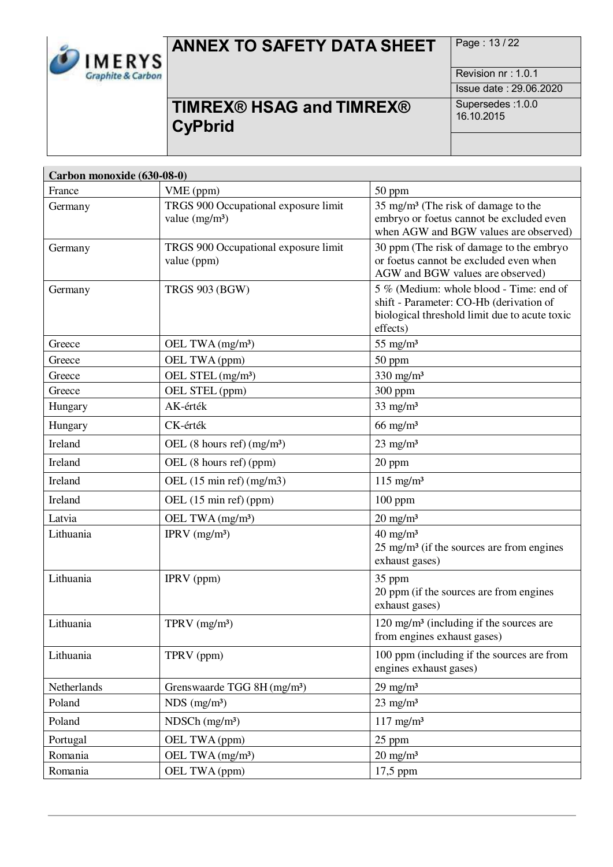

# **ANNEX TO SAFETY DATA SHEET** Page: 13/22

Revision nr : 1.0.1 Issue date : 29.06.2020

# **TIMREX® HSAG and TIMREX® CyPbrid**

| Carbon monoxide (630-08-0) |                                                         |                                                                                                                                                 |  |
|----------------------------|---------------------------------------------------------|-------------------------------------------------------------------------------------------------------------------------------------------------|--|
| France                     | VME (ppm)                                               | 50 ppm                                                                                                                                          |  |
| Germany                    | TRGS 900 Occupational exposure limit<br>value $(mg/m3)$ | 35 mg/m <sup>3</sup> (The risk of damage to the<br>embryo or foetus cannot be excluded even<br>when AGW and BGW values are observed)            |  |
| Germany                    | TRGS 900 Occupational exposure limit<br>value (ppm)     | 30 ppm (The risk of damage to the embryo<br>or foetus cannot be excluded even when<br>AGW and BGW values are observed)                          |  |
| Germany                    | <b>TRGS 903 (BGW)</b>                                   | 5 % (Medium: whole blood - Time: end of<br>shift - Parameter: CO-Hb (derivation of<br>biological threshold limit due to acute toxic<br>effects) |  |
| Greece                     | OEL TWA (mg/m <sup>3</sup> )                            | $55$ mg/m <sup>3</sup>                                                                                                                          |  |
| Greece                     | OEL TWA (ppm)                                           | 50 ppm                                                                                                                                          |  |
| Greece                     | OEL STEL (mg/m <sup>3</sup> )                           | $330$ mg/m <sup>3</sup>                                                                                                                         |  |
| Greece                     | OEL STEL (ppm)                                          | 300 ppm                                                                                                                                         |  |
| Hungary                    | AK-érték                                                | $33$ mg/m <sup>3</sup>                                                                                                                          |  |
| Hungary                    | CK-érték                                                | $66$ mg/m <sup>3</sup>                                                                                                                          |  |
| Ireland                    | OEL $(8 \text{ hours ref}) \text{ (mg/m}^3)$            | $23$ mg/m <sup>3</sup>                                                                                                                          |  |
| Ireland                    | OEL (8 hours ref) (ppm)                                 | 20 ppm                                                                                                                                          |  |
| Ireland                    | OEL $(15 \text{ min ref})$ (mg/m3)                      | $115$ mg/m <sup>3</sup>                                                                                                                         |  |
| Ireland                    | OEL (15 min ref) (ppm)                                  | 100 ppm                                                                                                                                         |  |
| Latvia                     | OEL TWA (mg/m <sup>3</sup> )                            | $20 \text{ mg/m}^3$                                                                                                                             |  |
| Lithuania                  | IPRV $(mg/m3)$                                          | $40 \text{ mg/m}^3$<br>25 mg/m <sup>3</sup> (if the sources are from engines<br>exhaust gases)                                                  |  |
| Lithuania                  | IPRV (ppm)                                              | 35 ppm<br>20 ppm (if the sources are from engines<br>exhaust gases)                                                                             |  |
| Lithuania                  | $TPRV$ (mg/m <sup>3</sup> )                             | $120 \text{ mg/m}^3$ (including if the sources are<br>from engines exhaust gases)                                                               |  |
| Lithuania                  | TPRV (ppm)                                              | 100 ppm (including if the sources are from<br>engines exhaust gases)                                                                            |  |
| Netherlands                | Grenswaarde TGG 8H (mg/m <sup>3</sup> )                 | $29$ mg/m <sup>3</sup>                                                                                                                          |  |
| Poland                     | $NDS$ (mg/m <sup>3</sup> )                              | $23$ mg/m <sup>3</sup>                                                                                                                          |  |
| Poland                     | $NDSCh$ (mg/m <sup>3</sup> )                            | $117$ mg/m <sup>3</sup>                                                                                                                         |  |
| Portugal                   | OEL TWA (ppm)                                           | 25 ppm                                                                                                                                          |  |
| Romania                    | OEL TWA (mg/m <sup>3</sup> )                            | $20 \text{ mg/m}^3$                                                                                                                             |  |
| Romania                    | OEL TWA (ppm)                                           | 17,5 ppm                                                                                                                                        |  |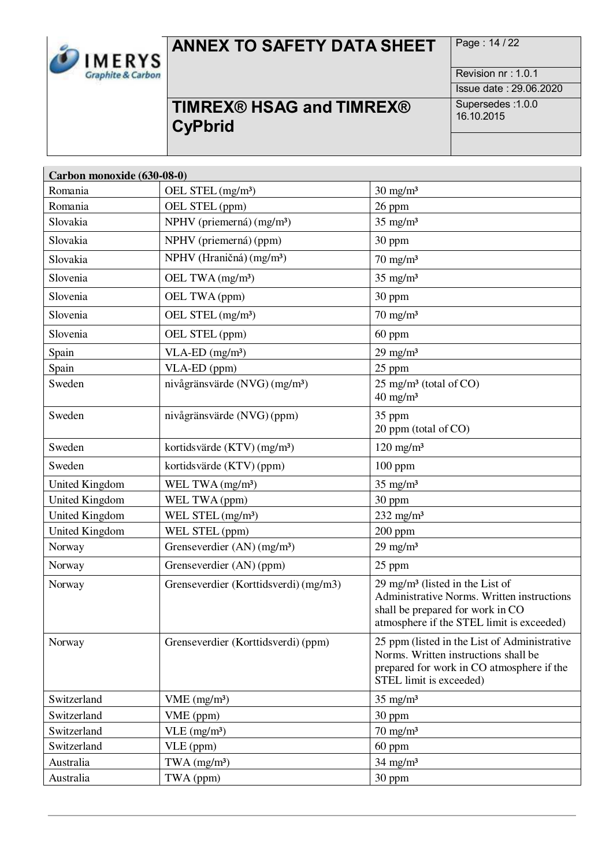

# **ANNEX TO SAFETY DATA SHEET** Page: 14/22

Revision nr : 1.0.1 Issue date : 29.06.2020

# **TIMREX® HSAG and TIMREX® CyPbrid**

| Carbon monoxide (630-08-0) |                                           |                                                                                                                                                                           |
|----------------------------|-------------------------------------------|---------------------------------------------------------------------------------------------------------------------------------------------------------------------------|
| Romania                    | OEL STEL (mg/m <sup>3</sup> )             | $30 \text{ mg/m}^3$                                                                                                                                                       |
| Romania                    | OEL STEL (ppm)                            | 26 ppm                                                                                                                                                                    |
| Slovakia                   | NPHV (priemerná) (mg/m <sup>3</sup> )     | $35$ mg/m <sup>3</sup>                                                                                                                                                    |
| Slovakia                   | NPHV (priemerná) (ppm)                    | 30 ppm                                                                                                                                                                    |
| Slovakia                   | NPHV (Hraničná) (mg/m <sup>3</sup> )      | $70 \text{ mg/m}^3$                                                                                                                                                       |
| Slovenia                   | OEL TWA (mg/m <sup>3</sup> )              | $35$ mg/m <sup>3</sup>                                                                                                                                                    |
| Slovenia                   | OEL TWA (ppm)                             | 30 ppm                                                                                                                                                                    |
| Slovenia                   | OEL STEL (mg/m <sup>3</sup> )             | $70 \text{ mg/m}^3$                                                                                                                                                       |
| Slovenia                   | OEL STEL (ppm)                            | 60 ppm                                                                                                                                                                    |
| Spain                      | $VLA-ED$ (mg/m <sup>3</sup> )             | $29$ mg/m <sup>3</sup>                                                                                                                                                    |
| Spain                      | VLA-ED (ppm)                              | 25 ppm                                                                                                                                                                    |
| Sweden                     | nivågränsvärde (NVG) (mg/m <sup>3</sup> ) | 25 mg/m <sup>3</sup> (total of CO)<br>$40 \text{ mg/m}^3$                                                                                                                 |
| Sweden                     | nivågränsvärde (NVG) (ppm)                | 35 ppm<br>20 ppm (total of CO)                                                                                                                                            |
| Sweden                     | kortidsvärde (KTV) (mg/m <sup>3</sup> )   | $120$ mg/m <sup>3</sup>                                                                                                                                                   |
| Sweden                     | kortidsvärde (KTV) (ppm)                  | 100 ppm                                                                                                                                                                   |
| <b>United Kingdom</b>      | WEL TWA $(mg/m3)$                         | $35$ mg/m <sup>3</sup>                                                                                                                                                    |
| <b>United Kingdom</b>      | WEL TWA (ppm)                             | 30 ppm                                                                                                                                                                    |
| <b>United Kingdom</b>      | WEL STEL (mg/m <sup>3</sup> )             | 232 mg/m $3$                                                                                                                                                              |
| <b>United Kingdom</b>      | WEL STEL (ppm)                            | $200$ ppm                                                                                                                                                                 |
| Norway                     | Grenseverdier (AN) (mg/m <sup>3</sup> )   | $29$ mg/m <sup>3</sup>                                                                                                                                                    |
| Norway                     | Grenseverdier (AN) (ppm)                  | 25 ppm                                                                                                                                                                    |
| Norway                     | Grenseverdier (Korttidsverdi) (mg/m3)     | $29 \text{ mg/m}^3$ (listed in the List of<br>Administrative Norms. Written instructions<br>shall be prepared for work in CO<br>atmosphere if the STEL limit is exceeded) |
| Norway                     | Grenseverdier (Korttidsverdi) (ppm)       | 25 ppm (listed in the List of Administrative<br>Norms. Written instructions shall be<br>prepared for work in CO atmosphere if the<br>STEL limit is exceeded)              |
| Switzerland                | VME (mg/m <sup>3</sup> )                  | $35$ mg/m <sup>3</sup>                                                                                                                                                    |
| Switzerland                | VME (ppm)                                 | 30 ppm                                                                                                                                                                    |
| Switzerland                | $VLE$ (mg/m <sup>3</sup> )                | $70 \text{ mg/m}^3$                                                                                                                                                       |
| Switzerland                | VLE (ppm)                                 | 60 ppm                                                                                                                                                                    |
| Australia                  | $TWA$ (mg/m <sup>3</sup> )                | $34$ mg/m <sup>3</sup>                                                                                                                                                    |
| Australia                  | TWA (ppm)                                 | 30 ppm                                                                                                                                                                    |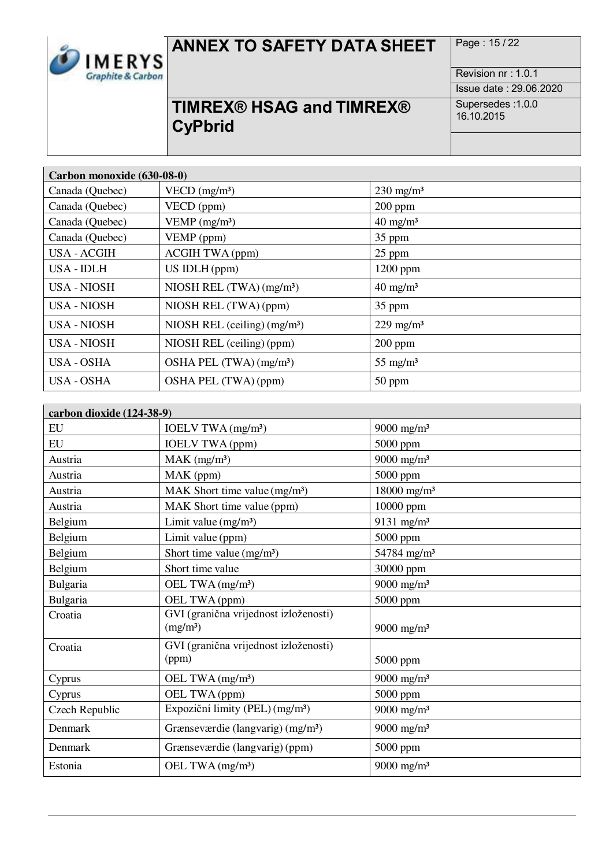

# **ANNEX TO SAFETY DATA SHEET** Page: 15/22

Revision nr : 1.0.1 Issue date : 29.06.2020

# **TIMREX® HSAG and TIMREX® CyPbrid**

| Carbon monoxide (630-08-0) |                                        |                         |
|----------------------------|----------------------------------------|-------------------------|
| Canada (Quebec)            | VECD $(mg/m3)$                         | $230 \text{ mg/m}^3$    |
| Canada (Quebec)            | VECD (ppm)                             | $200$ ppm               |
| Canada (Quebec)            | VEMP $(mg/m3)$                         | $40 \text{ mg/m}^3$     |
| Canada (Quebec)            | VEMP (ppm)                             | 35 ppm                  |
| <b>USA - ACGIH</b>         | <b>ACGIH TWA (ppm)</b>                 | $25$ ppm                |
| <b>USA-IDLH</b>            | $US$ IDLH (ppm)                        | 1200 ppm                |
| USA - NIOSH                | NIOSH REL $(TWA)$ (mg/m <sup>3</sup> ) | $40 \text{ mg/m}^3$     |
| USA - NIOSH                | NIOSH REL (TWA) (ppm)                  | 35 ppm                  |
| <b>USA - NIOSH</b>         | NIOSH REL (ceiling) $(mg/m3)$          | $229$ mg/m <sup>3</sup> |
| USA - NIOSH                | NIOSH REL (ceiling) (ppm)              | $200$ ppm               |
| USA - OSHA                 | OSHA PEL (TWA) (mg/m <sup>3</sup> )    | $55 \text{ mg/m}^3$     |
| <b>USA - OSHA</b>          | OSHA PEL (TWA) (ppm)                   | 50 ppm                  |

| carbon dioxide (124-38-9) |                                                               |                           |
|---------------------------|---------------------------------------------------------------|---------------------------|
| EU                        | IOELV TWA (mg/m <sup>3</sup> )                                | 9000 mg/m <sup>3</sup>    |
| EU                        | <b>IOELV TWA (ppm)</b>                                        | 5000 ppm                  |
| Austria                   | $MAK$ (mg/m <sup>3</sup> )                                    | $9000$ mg/m <sup>3</sup>  |
| Austria                   | MAK (ppm)                                                     | 5000 ppm                  |
| Austria                   | MAK Short time value (mg/m <sup>3</sup> )                     | $18000$ mg/m <sup>3</sup> |
| Austria                   | MAK Short time value (ppm)                                    | 10000 ppm                 |
| Belgium                   | Limit value $(mg/m3)$                                         | 9131 mg/m <sup>3</sup>    |
| Belgium                   | Limit value (ppm)                                             | 5000 ppm                  |
| Belgium                   | Short time value $(mg/m3)$                                    | 54784 mg/m <sup>3</sup>   |
| Belgium                   | Short time value                                              | 30000 ppm                 |
| Bulgaria                  | OEL TWA (mg/m <sup>3</sup> )                                  | 9000 mg/m <sup>3</sup>    |
| Bulgaria                  | OEL TWA (ppm)                                                 | 5000 ppm                  |
| Croatia                   | GVI (granična vrijednost izloženosti)<br>(mg/m <sup>3</sup> ) | 9000 mg/m <sup>3</sup>    |
| Croatia                   | GVI (granična vrijednost izloženosti)<br>(ppm)                | 5000 ppm                  |
| Cyprus                    | OEL TWA (mg/m <sup>3</sup> )                                  | 9000 mg/m <sup>3</sup>    |
| Cyprus                    | OEL TWA (ppm)                                                 | 5000 ppm                  |
| Czech Republic            | Expoziční limity (PEL) (mg/m <sup>3</sup> )                   | 9000 mg/m <sup>3</sup>    |
| Denmark                   | Grænseværdie (langvarig) (mg/m <sup>3</sup> )                 | 9000 mg/m <sup>3</sup>    |
| Denmark                   | Grænseværdie (langvarig) (ppm)                                | 5000 ppm                  |
| Estonia                   | OEL TWA (mg/m <sup>3</sup> )                                  | 9000 mg/m <sup>3</sup>    |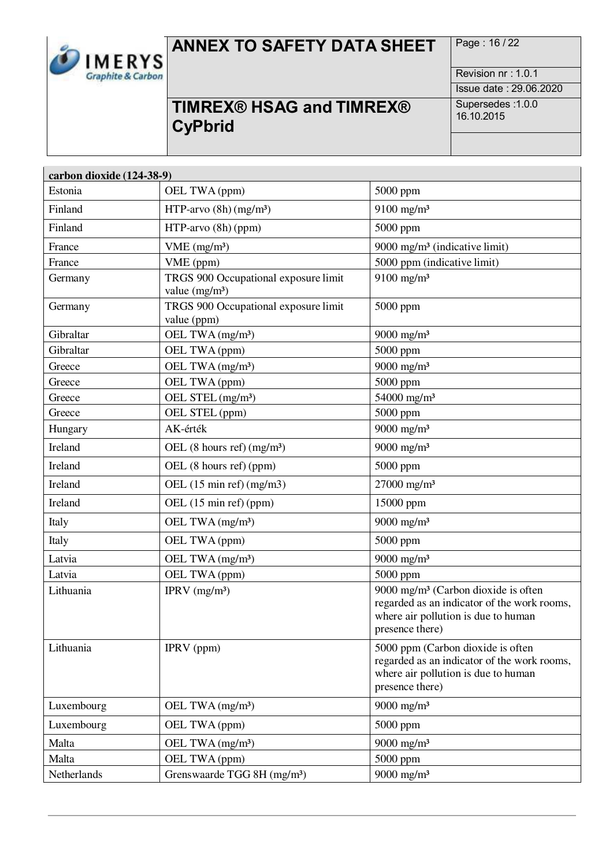

# **ANNEX TO SAFETY DATA SHEET** Page: 16/22

Revision nr : 1.0.1 Issue date : 29.06.2020

# **TIMREX® HSAG and TIMREX® CyPbrid**

| carbon dioxide (124-38-9) |                                                         |                                                                                                                                                          |
|---------------------------|---------------------------------------------------------|----------------------------------------------------------------------------------------------------------------------------------------------------------|
| Estonia                   | OEL TWA (ppm)                                           | 5000 ppm                                                                                                                                                 |
| Finland                   | HTP-arvo $(8h)(mg/m3)$                                  | $9100$ mg/m <sup>3</sup>                                                                                                                                 |
| Finland                   | HTP-arvo (8h) (ppm)                                     | 5000 ppm                                                                                                                                                 |
| France                    | VME (mg/m <sup>3</sup> )                                | 9000 mg/m <sup>3</sup> (indicative limit)                                                                                                                |
| France                    | VME (ppm)                                               | 5000 ppm (indicative limit)                                                                                                                              |
| Germany                   | TRGS 900 Occupational exposure limit<br>value $(mg/m3)$ | $9100$ mg/m <sup>3</sup>                                                                                                                                 |
| Germany                   | TRGS 900 Occupational exposure limit<br>value (ppm)     | 5000 ppm                                                                                                                                                 |
| Gibraltar                 | OEL TWA (mg/m <sup>3</sup> )                            | 9000 mg/m <sup>3</sup>                                                                                                                                   |
| Gibraltar                 | OEL TWA (ppm)                                           | 5000 ppm                                                                                                                                                 |
| Greece                    | OEL TWA (mg/m <sup>3</sup> )                            | $9000$ mg/m <sup>3</sup>                                                                                                                                 |
| Greece                    | OEL TWA (ppm)                                           | 5000 ppm                                                                                                                                                 |
| Greece                    | OEL STEL (mg/m <sup>3</sup> )                           | 54000 mg/m <sup>3</sup>                                                                                                                                  |
| Greece                    | OEL STEL (ppm)                                          | 5000 ppm                                                                                                                                                 |
| Hungary                   | AK-érték                                                | 9000 mg/m <sup>3</sup>                                                                                                                                   |
| Ireland                   | OEL $(8 \text{ hours ref}) \text{ (mg/m}^3)$            | 9000 mg/m <sup>3</sup>                                                                                                                                   |
| Ireland                   | OEL (8 hours ref) (ppm)                                 | 5000 ppm                                                                                                                                                 |
| Ireland                   | OEL $(15 \text{ min ref})$ (mg/m3)                      | $27000$ mg/m <sup>3</sup>                                                                                                                                |
| Ireland                   | OEL (15 min ref) (ppm)                                  | 15000 ppm                                                                                                                                                |
| Italy                     | OEL TWA (mg/m <sup>3</sup> )                            | 9000 mg/m <sup>3</sup>                                                                                                                                   |
| Italy                     | OEL TWA (ppm)                                           | 5000 ppm                                                                                                                                                 |
| Latvia                    | OEL TWA (mg/m <sup>3</sup> )                            | 9000 mg/m <sup>3</sup>                                                                                                                                   |
| Latvia                    | OEL TWA (ppm)                                           | 5000 ppm                                                                                                                                                 |
| Lithuania                 | IPRV $(mg/m3)$                                          | 9000 mg/m <sup>3</sup> (Carbon dioxide is often<br>regarded as an indicator of the work rooms,<br>where air pollution is due to human<br>presence there) |
| Lithuania                 | IPRV (ppm)                                              | 5000 ppm (Carbon dioxide is often<br>regarded as an indicator of the work rooms,<br>where air pollution is due to human<br>presence there)               |
| Luxembourg                | OEL TWA (mg/m <sup>3</sup> )                            | 9000 mg/m <sup>3</sup>                                                                                                                                   |
| Luxembourg                | OEL TWA (ppm)                                           | 5000 ppm                                                                                                                                                 |
| Malta                     | OEL TWA (mg/m <sup>3</sup> )                            | 9000 mg/m <sup>3</sup>                                                                                                                                   |
| Malta                     | OEL TWA (ppm)                                           | 5000 ppm                                                                                                                                                 |
| Netherlands               | Grenswaarde TGG 8H (mg/m <sup>3</sup> )                 | 9000 mg/m <sup>3</sup>                                                                                                                                   |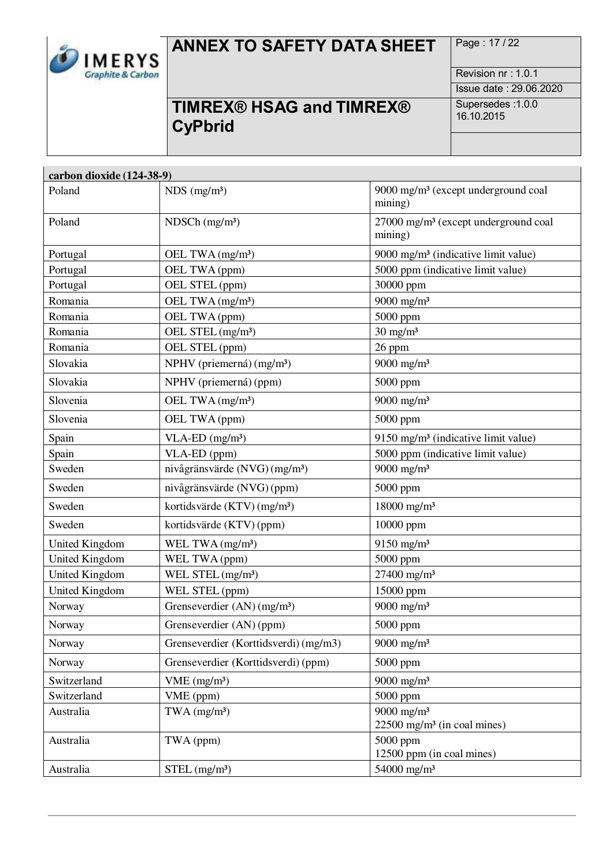

# **ANNEX TO SAFETY DATA SHEET** Page: 17/22

**TIMREX® HSAG and TIMREX® CyPbrid**

Revision nr : 1.0.1 Issue date : 29.06.2020 Supersedes :1.0.0 16.10.2015

| carbon dioxide (124-38-9) |                                           |                                                                       |  |
|---------------------------|-------------------------------------------|-----------------------------------------------------------------------|--|
| Poland                    | $NDS$ (mg/m <sup>3</sup> )                | 9000 mg/m <sup>3</sup> (except underground coal<br>mining)            |  |
| Poland                    | $NDSCh$ (mg/m <sup>3</sup> )              | 27000 mg/m <sup>3</sup> (except underground coal<br>mining)           |  |
| Portugal                  | OEL TWA (mg/m <sup>3</sup> )              | 9000 mg/m <sup>3</sup> (indicative limit value)                       |  |
| Portugal                  | OEL TWA (ppm)                             | 5000 ppm (indicative limit value)                                     |  |
| Portugal                  | OEL STEL (ppm)                            | 30000 ppm                                                             |  |
| Romania                   | OEL TWA (mg/m <sup>3</sup> )              | $9000$ mg/m <sup>3</sup>                                              |  |
| Romania                   | OEL TWA (ppm)                             | 5000 ppm                                                              |  |
| Romania                   | OEL STEL (mg/m <sup>3</sup> )             | $30 \text{ mg/m}^3$                                                   |  |
| Romania                   | OEL STEL (ppm)                            | 26 ppm                                                                |  |
| Slovakia                  | NPHV (priemerná) (mg/m <sup>3</sup> )     | 9000 mg/m <sup>3</sup>                                                |  |
| Slovakia                  | NPHV (priemerná) (ppm)                    | 5000 ppm                                                              |  |
| Slovenia                  | OEL TWA $(mg/m3)$                         | $9000$ mg/m <sup>3</sup>                                              |  |
| Slovenia                  | OEL TWA (ppm)                             | 5000 ppm                                                              |  |
| Spain                     | $VLA-ED$ (mg/m <sup>3</sup> )             | 9150 mg/m <sup>3</sup> (indicative limit value)                       |  |
| Spain                     | VLA-ED (ppm)                              | 5000 ppm (indicative limit value)                                     |  |
| Sweden                    | nivågränsvärde (NVG) (mg/m <sup>3</sup> ) | $9000$ mg/m <sup>3</sup>                                              |  |
| Sweden                    | nivågränsvärde (NVG) (ppm)                | 5000 ppm                                                              |  |
| Sweden                    | kortidsvärde (KTV) (mg/m <sup>3</sup> )   | 18000 mg/m <sup>3</sup>                                               |  |
| Sweden                    | kortidsvärde (KTV) (ppm)                  | 10000 ppm                                                             |  |
| <b>United Kingdom</b>     | WEL TWA $(mg/m3)$                         | 9150 mg/m <sup>3</sup>                                                |  |
| <b>United Kingdom</b>     | WEL TWA (ppm)                             | 5000 ppm                                                              |  |
| <b>United Kingdom</b>     | WEL STEL (mg/m <sup>3</sup> )             | $27400$ mg/m <sup>3</sup>                                             |  |
| <b>United Kingdom</b>     | WEL STEL (ppm)                            | 15000 ppm                                                             |  |
| Norway                    | Grenseverdier $(AN)$ (mg/m <sup>3</sup> ) | $9000$ mg/m <sup>3</sup>                                              |  |
| Norway                    | Grenseverdier (AN) (ppm)                  | 5000 ppm                                                              |  |
| Norway                    | Grenseverdier (Korttidsverdi) (mg/m3)     | $9000$ mg/m <sup>3</sup>                                              |  |
| Norway                    | Grenseverdier (Korttidsverdi) (ppm)       | 5000 ppm                                                              |  |
| Switzerland               | VME (mg/m <sup>3</sup> )                  | 9000 mg/m <sup>3</sup>                                                |  |
| Switzerland               | VME (ppm)                                 | 5000 ppm                                                              |  |
| Australia                 | $TWA$ (mg/m <sup>3</sup> )                | $9000$ mg/m <sup>3</sup><br>$22500$ mg/m <sup>3</sup> (in coal mines) |  |
| Australia                 | TWA (ppm)                                 | 5000 ppm<br>12500 ppm (in coal mines)                                 |  |
| Australia                 | $STEL$ (mg/m <sup>3</sup> )               | 54000 mg/m <sup>3</sup>                                               |  |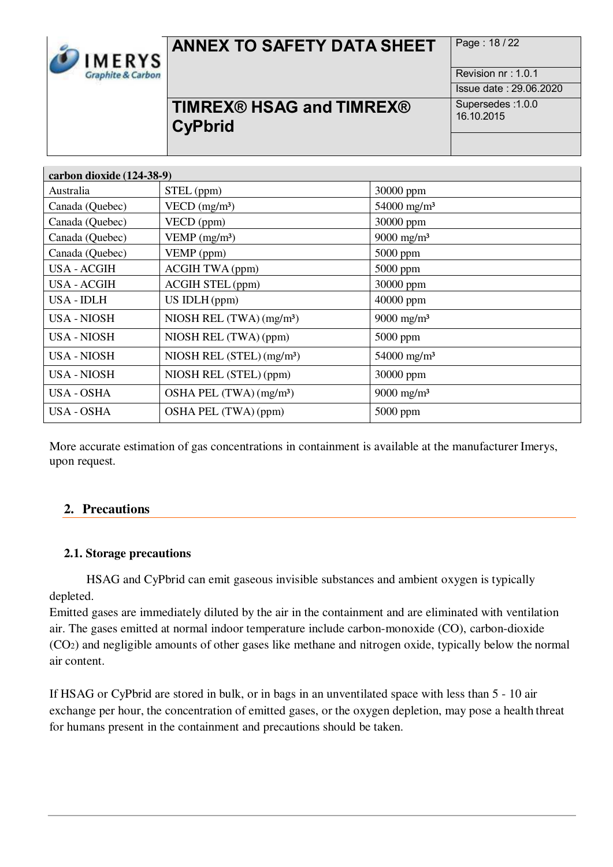

# ANNEX TO SAFETY DATA SHEET Page: 18/22

**TIMREX® HSAG and TIMREX® CyPbrid**

Revision nr : 1.0.1 Issue date : 29.06.2020 Supersedes :1.0.0 16.10.2015

| carbon dioxide (124-38-9) |                                        |                           |
|---------------------------|----------------------------------------|---------------------------|
| Australia                 | STEL (ppm)                             | 30000 ppm                 |
| Canada (Quebec)           | VECD $(mg/m3)$                         | $54000$ mg/m <sup>3</sup> |
| Canada (Quebec)           | VECD (ppm)                             | 30000 ppm                 |
| Canada (Quebec)           | VEMP $(mg/m3)$                         | 9000 mg/m <sup>3</sup>    |
| Canada (Quebec)           | VEMP (ppm)                             | $5000$ ppm                |
| <b>USA - ACGIH</b>        | <b>ACGIH TWA (ppm)</b>                 | $5000$ ppm                |
| USA - ACGIH               | <b>ACGIH STEL (ppm)</b>                | 30000 ppm                 |
| USA - IDLH                | US IDLH (ppm)                          | 40000 ppm                 |
| USA - NIOSH               | NIOSH REL $(TWA)$ (mg/m <sup>3</sup> ) | 9000 mg/m <sup>3</sup>    |
| USA - NIOSH               | NIOSH REL (TWA) (ppm)                  | $5000$ ppm                |
| USA - NIOSH               | NIOSH REL (STEL) (mg/m <sup>3</sup> )  | $54000$ mg/m <sup>3</sup> |
| <b>USA - NIOSH</b>        | NIOSH REL (STEL) (ppm)                 | 30000 ppm                 |
| USA - OSHA                | OSHA PEL (TWA) (mg/m <sup>3</sup> )    | $9000$ mg/m <sup>3</sup>  |
| USA - OSHA                | OSHA PEL (TWA) (ppm)                   | $5000$ ppm                |

More accurate estimation of gas concentrations in containment is available at the manufacturer Imerys, upon request.

## **2. Precautions**

## **2.1. Storage precautions**

HSAG and CyPbrid can emit gaseous invisible substances and ambient oxygen is typically depleted.

Emitted gases are immediately diluted by the air in the containment and are eliminated with ventilation air. The gases emitted at normal indoor temperature include carbon-monoxide (CO), carbon-dioxide (CO2) and negligible amounts of other gases like methane and nitrogen oxide, typically below the normal air content.

If HSAG or CyPbrid are stored in bulk, or in bags in an unventilated space with less than 5 - 10 air exchange per hour, the concentration of emitted gases, or the oxygen depletion, may pose a health threat for humans present in the containment and precautions should be taken.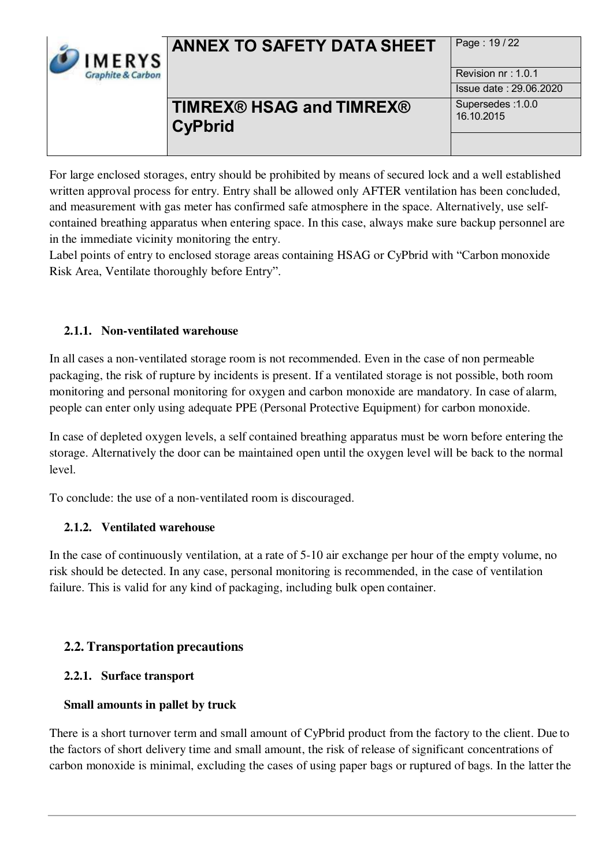

# **ANNEX TO SAFETY DATA SHEET** Page: 19/22

## **TIMREX® HSAG and TIMREX® CyPbrid**

Revision nr : 1.0.1 Issue date : 29.06.2020 Supersedes :1.0.0 16.10.2015

For large enclosed storages, entry should be prohibited by means of secured lock and a well established written approval process for entry. Entry shall be allowed only AFTER ventilation has been concluded, and measurement with gas meter has confirmed safe atmosphere in the space. Alternatively, use selfcontained breathing apparatus when entering space. In this case, always make sure backup personnel are in the immediate vicinity monitoring the entry.

Label points of entry to enclosed storage areas containing HSAG or CyPbrid with "Carbon monoxide Risk Area, Ventilate thoroughly before Entry".

## **2.1.1. Non-ventilated warehouse**

In all cases a non-ventilated storage room is not recommended. Even in the case of non permeable packaging, the risk of rupture by incidents is present. If a ventilated storage is not possible, both room monitoring and personal monitoring for oxygen and carbon monoxide are mandatory. In case of alarm, people can enter only using adequate PPE (Personal Protective Equipment) for carbon monoxide.

In case of depleted oxygen levels, a self contained breathing apparatus must be worn before entering the storage. Alternatively the door can be maintained open until the oxygen level will be back to the normal level.

To conclude: the use of a non-ventilated room is discouraged.

## **2.1.2. Ventilated warehouse**

In the case of continuously ventilation, at a rate of 5-10 air exchange per hour of the empty volume, no risk should be detected. In any case, personal monitoring is recommended, in the case of ventilation failure. This is valid for any kind of packaging, including bulk open container.

## **2.2. Transportation precautions**

## **2.2.1. Surface transport**

## **Small amounts in pallet by truck**

There is a short turnover term and small amount of CyPbrid product from the factory to the client. Due to the factors of short delivery time and small amount, the risk of release of significant concentrations of carbon monoxide is minimal, excluding the cases of using paper bags or ruptured of bags. In the latter the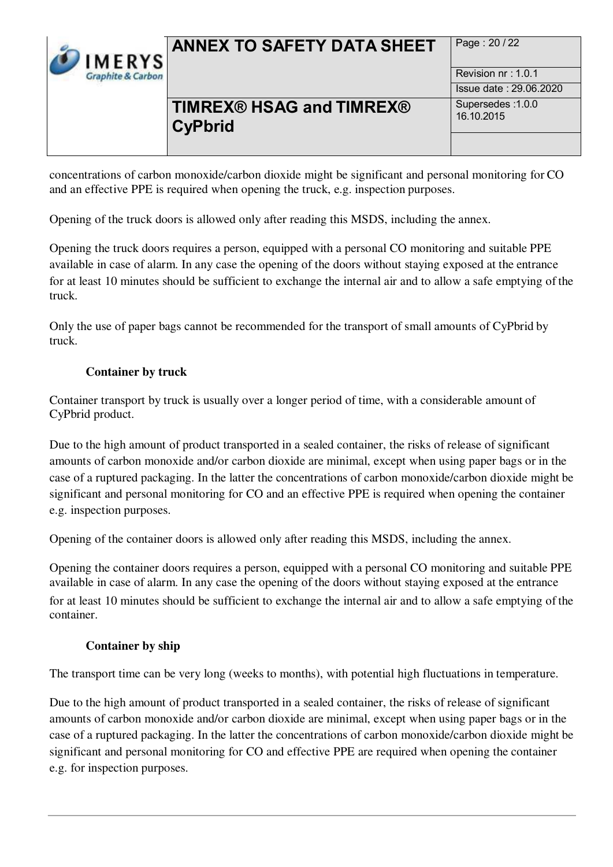

# ANNEX TO SAFETY DATA SHEET Page : 20/22

## **TIMREX® HSAG and TIMREX® CyPbrid**

Revision nr : 1.0.1 Issue date : 29.06.2020 Supersedes :1.0.0 16.10.2015

concentrations of carbon monoxide/carbon dioxide might be significant and personal monitoring for CO and an effective PPE is required when opening the truck, e.g. inspection purposes.

Opening of the truck doors is allowed only after reading this MSDS, including the annex.

Opening the truck doors requires a person, equipped with a personal CO monitoring and suitable PPE available in case of alarm. In any case the opening of the doors without staying exposed at the entrance for at least 10 minutes should be sufficient to exchange the internal air and to allow a safe emptying of the truck.

Only the use of paper bags cannot be recommended for the transport of small amounts of CyPbrid by truck.

## **Container by truck**

Container transport by truck is usually over a longer period of time, with a considerable amount of CyPbrid product.

Due to the high amount of product transported in a sealed container, the risks of release of significant amounts of carbon monoxide and/or carbon dioxide are minimal, except when using paper bags or in the case of a ruptured packaging. In the latter the concentrations of carbon monoxide/carbon dioxide might be significant and personal monitoring for CO and an effective PPE is required when opening the container e.g. inspection purposes.

Opening of the container doors is allowed only after reading this MSDS, including the annex.

Opening the container doors requires a person, equipped with a personal CO monitoring and suitable PPE available in case of alarm. In any case the opening of the doors without staying exposed at the entrance for at least 10 minutes should be sufficient to exchange the internal air and to allow a safe emptying of the container.

## **Container by ship**

The transport time can be very long (weeks to months), with potential high fluctuations in temperature.

Due to the high amount of product transported in a sealed container, the risks of release of significant amounts of carbon monoxide and/or carbon dioxide are minimal, except when using paper bags or in the case of a ruptured packaging. In the latter the concentrations of carbon monoxide/carbon dioxide might be significant and personal monitoring for CO and effective PPE are required when opening the container e.g. for inspection purposes.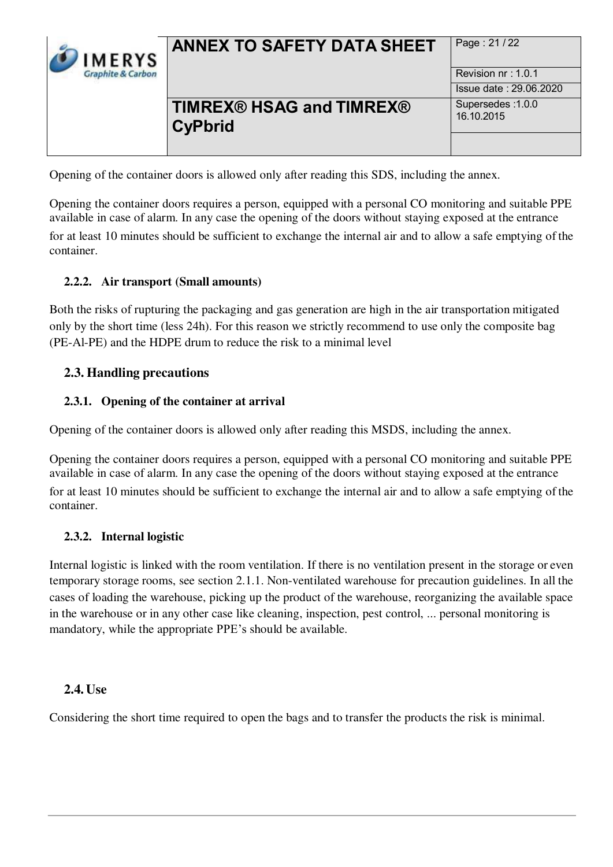

# **ANNEX TO SAFETY DATA SHEET** Page: 21/22

## **TIMREX® HSAG and TIMREX® CyPbrid**

Revision nr : 1.0.1 Issue date : 29.06.2020 Supersedes :1.0.0 16.10.2015

Opening of the container doors is allowed only after reading this SDS, including the annex.

Opening the container doors requires a person, equipped with a personal CO monitoring and suitable PPE available in case of alarm. In any case the opening of the doors without staying exposed at the entrance for at least 10 minutes should be sufficient to exchange the internal air and to allow a safe emptying of the container.

## **2.2.2. Air transport (Small amounts)**

Both the risks of rupturing the packaging and gas generation are high in the air transportation mitigated only by the short time (less 24h). For this reason we strictly recommend to use only the composite bag (PE-Al-PE) and the HDPE drum to reduce the risk to a minimal level

## **2.3. Handling precautions**

## **2.3.1. Opening of the container at arrival**

Opening of the container doors is allowed only after reading this MSDS, including the annex.

Opening the container doors requires a person, equipped with a personal CO monitoring and suitable PPE available in case of alarm. In any case the opening of the doors without staying exposed at the entrance for at least 10 minutes should be sufficient to exchange the internal air and to allow a safe emptying of the container.

## **2.3.2. Internal logistic**

Internal logistic is linked with the room ventilation. If there is no ventilation present in the storage or even temporary storage rooms, see section 2.1.1. Non-ventilated warehouse for precaution guidelines. In all the cases of loading the warehouse, picking up the product of the warehouse, reorganizing the available space in the warehouse or in any other case like cleaning, inspection, pest control, ... personal monitoring is mandatory, while the appropriate PPE's should be available.

## **2.4. Use**

Considering the short time required to open the bags and to transfer the products the risk is minimal.